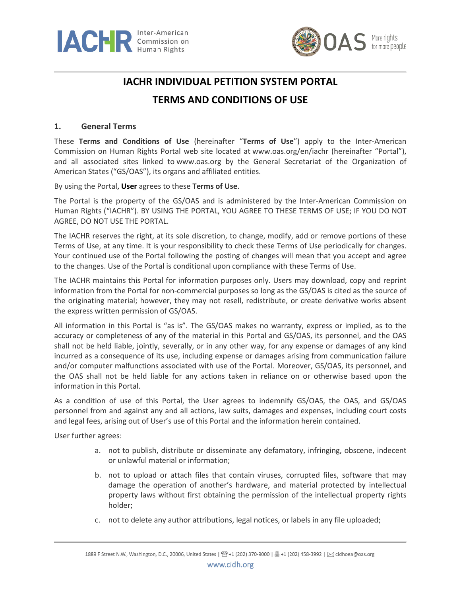



# **IACHR INDIVIDUAL PETITION SYSTEM PORTAL**

## **TERMS AND CONDITIONS OF USE**

#### **1. General Terms**

These **Terms and Conditions of Use** (hereinafter "**Terms of Use**") apply to the Inter-American Commission on Human Rights Portal web site located at [www.oas.org/en/iachr](http://www.oas.org/en/iachr) (hereinafter "Portal"), and all associated sites linked to [www.oas.org](http://www.oas.org/) by the General Secretariat of the Organization of American States ("GS/OAS"), its organs and affiliated entities.

By using the Portal, **User** agrees to these **Terms of Use**.

The Portal is the property of the GS/OAS and is administered by the Inter-American Commission on Human Rights ("IACHR"). BY USING THE PORTAL, YOU AGREE TO THESE TERMS OF USE; IF YOU DO NOT AGREE, DO NOT USE THE PORTAL.

The IACHR reserves the right, at its sole discretion, to change, modify, add or remove portions of these Terms of Use, at any time. It is your responsibility to check these Terms of Use periodically for changes. Your continued use of the Portal following the posting of changes will mean that you accept and agree to the changes. Use of the Portal is conditional upon compliance with these Terms of Use.

The IACHR maintains this Portal for information purposes only. Users may download, copy and reprint information from the Portal for non-commercial purposes so long as the GS/OAS is cited as the source of the originating material; however, they may not resell, redistribute, or create derivative works absent the express written permission of GS/OAS.

All information in this Portal is "as is". The GS/OAS makes no warranty, express or implied, as to the accuracy or completeness of any of the material in this Portal and GS/OAS, its personnel, and the OAS shall not be held liable, jointly, severally, or in any other way, for any expense or damages of any kind incurred as a consequence of its use, including expense or damages arising from communication failure and/or computer malfunctions associated with use of the Portal. Moreover, GS/OAS, its personnel, and the OAS shall not be held liable for any actions taken in reliance on or otherwise based upon the information in this Portal.

As a condition of use of this Portal, the User agrees to indemnify GS/OAS, the OAS, and GS/OAS personnel from and against any and all actions, law suits, damages and expenses, including court costs and legal fees, arising out of User's use of this Portal and the information herein contained.

User further agrees:

- a. not to publish, distribute or disseminate any defamatory, infringing, obscene, indecent or unlawful material or information;
- b. not to upload or attach files that contain viruses, corrupted files, software that may damage the operation of another's hardware, and material protected by intellectual property laws without first obtaining the permission of the intellectual property rights holder;
- c. not to delete any author attributions, legal notices, or labels in any file uploaded;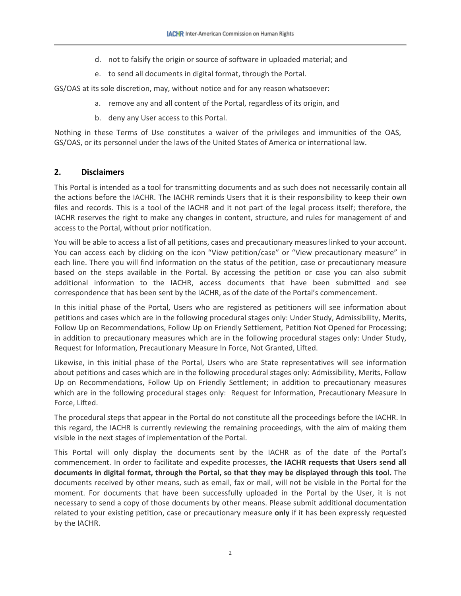- d. not to falsify the origin or source of software in uploaded material; and
- e. to send all documents in digital format, through the Portal.

GS/OAS at its sole discretion, may, without notice and for any reason whatsoever:

- a. remove any and all content of the Portal, regardless of its origin, and
- b. deny any User access to this Portal.

Nothing in these Terms of Use constitutes a waiver of the privileges and immunities of the OAS, GS/OAS, or its personnel under the laws of the United States of America or international law.

#### **2. Disclaimers**

This Portal is intended as a tool for transmitting documents and as such does not necessarily contain all the actions before the IACHR. The IACHR reminds Users that it is their responsibility to keep their own files and records. This is a tool of the IACHR and it not part of the legal process itself; therefore, the IACHR reserves the right to make any changes in content, structure, and rules for management of and access to the Portal, without prior notification.

You will be able to access a list of all petitions, cases and precautionary measures linked to your account. You can access each by clicking on the icon "View petition/case" or "View precautionary measure" in each line. There you will find information on the status of the petition, case or precautionary measure based on the steps available in the Portal. By accessing the petition or case you can also submit additional information to the IACHR, access documents that have been submitted and see correspondence that has been sent by the IACHR, as of the date of the Portal's commencement.

In this initial phase of the Portal, Users who are registered as petitioners will see information about petitions and cases which are in the following procedural stages only: Under Study, Admissibility, Merits, Follow Up on Recommendations, Follow Up on Friendly Settlement, Petition Not Opened for Processing; in addition to precautionary measures which are in the following procedural stages only: Under Study, Request for Information, Precautionary Measure In Force, Not Granted, Lifted.

Likewise, in this initial phase of the Portal, Users who are State representatives will see information about petitions and cases which are in the following procedural stages only: Admissibility, Merits, Follow Up on Recommendations, Follow Up on Friendly Settlement; in addition to precautionary measures which are in the following procedural stages only: Request for Information, Precautionary Measure In Force, Lifted.

The procedural steps that appear in the Portal do not constitute all the proceedings before the IACHR. In this regard, the IACHR is currently reviewing the remaining proceedings, with the aim of making them visible in the next stages of implementation of the Portal.

This Portal will only display the documents sent by the IACHR as of the date of the Portal's commencement. In order to facilitate and expedite processes, **the IACHR requests that Users send all documents in digital format, through the Portal, so that they may be displayed through this tool.** The documents received by other means, such as email, fax or mail, will not be visible in the Portal for the moment. For documents that have been successfully uploaded in the Portal by the User, it is not necessary to send a copy of those documents by other means. Please submit additional documentation related to your existing petition, case or precautionary measure **only** if it has been expressly requested by the IACHR.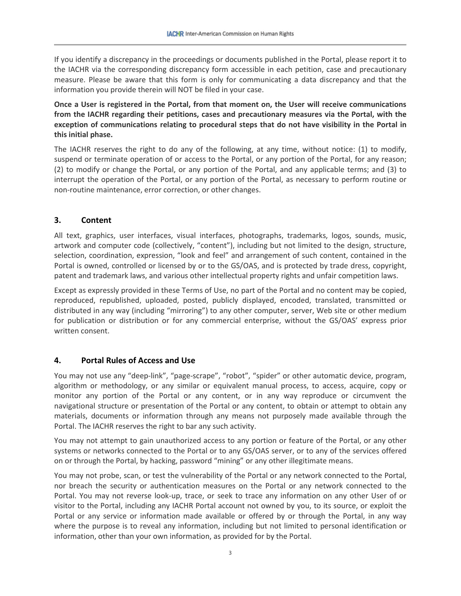If you identify a discrepancy in the proceedings or documents published in the Portal, please report it to the IACHR via the corresponding discrepancy form accessible in each petition, case and precautionary measure. Please be aware that this form is only for communicating a data discrepancy and that the information you provide therein will NOT be filed in your case.

**Once a User is registered in the Portal, from that moment on, the User will receive communications from the IACHR regarding their petitions, cases and precautionary measures via the Portal, with the exception of communications relating to procedural steps that do not have visibility in the Portal in this initial phase.**

The IACHR reserves the right to do any of the following, at any time, without notice: (1) to modify, suspend or terminate operation of or access to the Portal, or any portion of the Portal, for any reason; (2) to modify or change the Portal, or any portion of the Portal, and any applicable terms; and (3) to interrupt the operation of the Portal, or any portion of the Portal, as necessary to perform routine or non-routine maintenance, error correction, or other changes.

#### **3. Content**

All text, graphics, user interfaces, visual interfaces, photographs, trademarks, logos, sounds, music, artwork and computer code (collectively, "content"), including but not limited to the design, structure, selection, coordination, expression, "look and feel" and arrangement of such content, contained in the Portal is owned, controlled or licensed by or to the GS/OAS, and is protected by trade dress, copyright, patent and trademark laws, and various other intellectual property rights and unfair competition laws.

Except as expressly provided in these Terms of Use, no part of the Portal and no content may be copied, reproduced, republished, uploaded, posted, publicly displayed, encoded, translated, transmitted or distributed in any way (including "mirroring") to any other computer, server, Web site or other medium for publication or distribution or for any commercial enterprise, without the GS/OAS' express prior written consent.

#### **4. Portal Rules of Access and Use**

You may not use any "deep-link", "page-scrape", "robot", "spider" or other automatic device, program, algorithm or methodology, or any similar or equivalent manual process, to access, acquire, copy or monitor any portion of the Portal or any content, or in any way reproduce or circumvent the navigational structure or presentation of the Portal or any content, to obtain or attempt to obtain any materials, documents or information through any means not purposely made available through the Portal. The IACHR reserves the right to bar any such activity.

You may not attempt to gain unauthorized access to any portion or feature of the Portal, or any other systems or networks connected to the Portal or to any GS/OAS server, or to any of the services offered on or through the Portal, by hacking, password "mining" or any other illegitimate means.

You may not probe, scan, or test the vulnerability of the Portal or any network connected to the Portal, nor breach the security or authentication measures on the Portal or any network connected to the Portal. You may not reverse look-up, trace, or seek to trace any information on any other User of or visitor to the Portal, including any IACHR Portal account not owned by you, to its source, or exploit the Portal or any service or information made available or offered by or through the Portal, in any way where the purpose is to reveal any information, including but not limited to personal identification or information, other than your own information, as provided for by the Portal.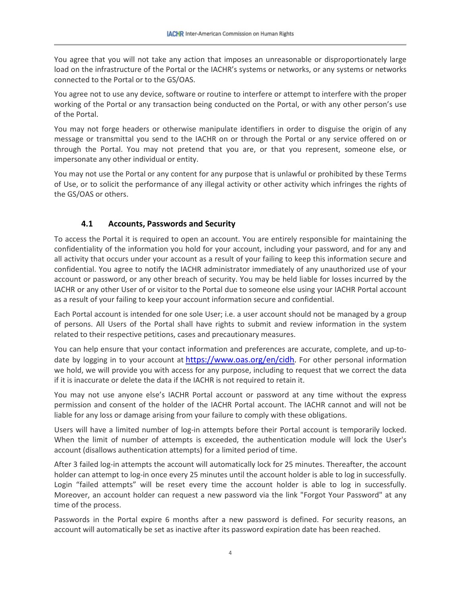You agree that you will not take any action that imposes an unreasonable or disproportionately large load on the infrastructure of the Portal or the IACHR's systems or networks, or any systems or networks connected to the Portal or to the GS/OAS.

You agree not to use any device, software or routine to interfere or attempt to interfere with the proper working of the Portal or any transaction being conducted on the Portal, or with any other person's use of the Portal.

You may not forge headers or otherwise manipulate identifiers in order to disguise the origin of any message or transmittal you send to the IACHR on or through the Portal or any service offered on or through the Portal. You may not pretend that you are, or that you represent, someone else, or impersonate any other individual or entity.

You may not use the Portal or any content for any purpose that is unlawful or prohibited by these Terms of Use, or to solicit the performance of any illegal activity or other activity which infringes the rights of the GS/OAS or others.

## **4.1 Accounts, Passwords and Security**

To access the Portal it is required to open an account. You are entirely responsible for maintaining the confidentiality of the information you hold for your account, including your password, and for any and all activity that occurs under your account as a result of your failing to keep this information secure and confidential. You agree to notify the IACHR administrator immediately of any unauthorized use of your account or password, or any other breach of security. You may be held liable for losses incurred by the IACHR or any other User of or visitor to the Portal due to someone else using your IACHR Portal account as a result of your failing to keep your account information secure and confidential.

Each Portal account is intended for one sole User; i.e. a user account should not be managed by a group of persons. All Users of the Portal shall have rights to submit and review information in the system related to their respective petitions, cases and precautionary measures.

You can help ensure that your contact information and preferences are accurate, complete, and up-todate by logging in to your account at [https://www.oas.org/en/cidh.](https://www.oas.org/en/cidh) For other personal information we hold, we will provide you with access for any purpose, including to request that we correct the data if it is inaccurate or delete the data if the IACHR is not required to retain it.

You may not use anyone else's IACHR Portal account or password at any time without the express permission and consent of the holder of the IACHR Portal account. The IACHR cannot and will not be liable for any loss or damage arising from your failure to comply with these obligations.

Users will have a limited number of log-in attempts before their Portal account is temporarily locked. When the limit of number of attempts is exceeded, the authentication module will lock the User's account (disallows authentication attempts) for a limited period of time.

After 3 failed log-in attempts the account will automatically lock for 25 minutes. Thereafter, the account holder can attempt to log-in once every 25 minutes until the account holder is able to log in successfully. Login "failed attempts" will be reset every time the account holder is able to log in successfully. Moreover, an account holder can request a new password via the link "Forgot Your Password" at any time of the process.

Passwords in the Portal expire 6 months after a new password is defined. For security reasons, an account will automatically be set as inactive after its password expiration date has been reached.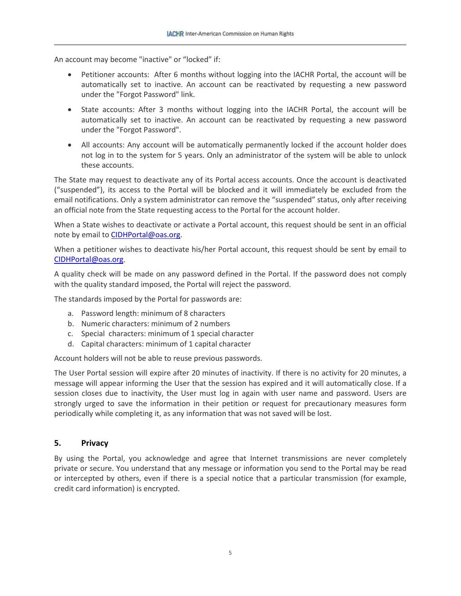An account may become "inactive" or "locked" if:

- Petitioner accounts: After 6 months without logging into the IACHR Portal, the account will be automatically set to inactive. An account can be reactivated by requesting a new password under the "Forgot Password" link.
- State accounts: After 3 months without logging into the IACHR Portal, the account will be automatically set to inactive. An account can be reactivated by requesting a new password under the "Forgot Password".
- All accounts: Any account will be automatically permanently locked if the account holder does not log in to the system for 5 years. Only an administrator of the system will be able to unlock these accounts.

The State may request to deactivate any of its Portal access accounts. Once the account is deactivated ("suspended"), its access to the Portal will be blocked and it will immediately be excluded from the email notifications. Only a system administrator can remove the "suspended" status, only after receiving an official note from the State requesting access to the Portal for the account holder.

When a State wishes to deactivate or activate a Portal account, this request should be sent in an official note by email to **CIDHPortal@oas.org**.

When a petitioner wishes to deactivate his/her Portal account, this request should be sent by email to [CIDHPortal@oas.org.](mailto:CIDHPortal@oas.org)

A quality check will be made on any password defined in the Portal. If the password does not comply with the quality standard imposed, the Portal will reject the password.

The standards imposed by the Portal for passwords are:

- a. Password length: minimum of 8 characters
- b. Numeric characters: minimum of 2 numbers
- c. Special characters: minimum of 1 special character
- d. Capital characters: minimum of 1 capital character

Account holders will not be able to reuse previous passwords.

The User Portal session will expire after 20 minutes of inactivity. If there is no activity for 20 minutes, a message will appear informing the User that the session has expired and it will automatically close. If a session closes due to inactivity, the User must log in again with user name and password. Users are strongly urged to save the information in their petition or request for precautionary measures form periodically while completing it, as any information that was not saved will be lost.

#### **5. Privacy**

By using the Portal, you acknowledge and agree that Internet transmissions are never completely private or secure. You understand that any message or information you send to the Portal may be read or intercepted by others, even if there is a special notice that a particular transmission (for example, credit card information) is encrypted.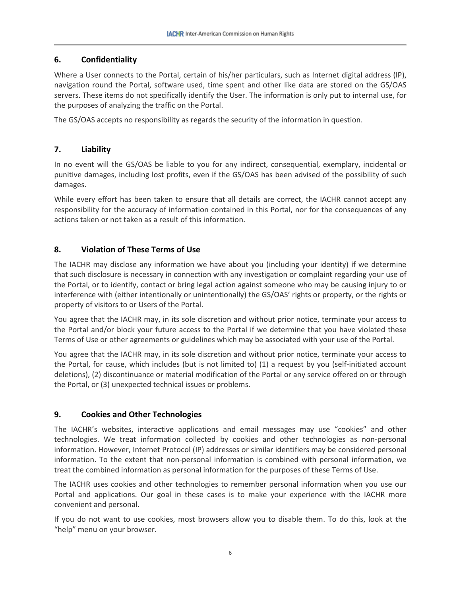## **6. Confidentiality**

Where a User connects to the Portal, certain of his/her particulars, such as Internet digital address (IP), navigation round the Portal, software used, time spent and other like data are stored on the GS/OAS servers. These items do not specifically identify the User. The information is only put to internal use, for the purposes of analyzing the traffic on the Portal.

The GS/OAS accepts no responsibility as regards the security of the information in question.

## **7. Liability**

In no event will the GS/OAS be liable to you for any indirect, consequential, exemplary, incidental or punitive damages, including lost profits, even if the GS/OAS has been advised of the possibility of such damages.

While every effort has been taken to ensure that all details are correct, the IACHR cannot accept any responsibility for the accuracy of information contained in this Portal, nor for the consequences of any actions taken or not taken as a result of this information.

## **8. Violation of These Terms of Use**

The IACHR may disclose any information we have about you (including your identity) if we determine that such disclosure is necessary in connection with any investigation or complaint regarding your use of the Portal, or to identify, contact or bring legal action against someone who may be causing injury to or interference with (either intentionally or unintentionally) the GS/OAS' rights or property, or the rights or property of visitors to or Users of the Portal.

You agree that the IACHR may, in its sole discretion and without prior notice, terminate your access to the Portal and/or block your future access to the Portal if we determine that you have violated these Terms of Use or other agreements or guidelines which may be associated with your use of the Portal.

You agree that the IACHR may, in its sole discretion and without prior notice, terminate your access to the Portal, for cause, which includes (but is not limited to) (1) a request by you (self-initiated account deletions), (2) discontinuance or material modification of the Portal or any service offered on or through the Portal, or (3) unexpected technical issues or problems.

## **9. Cookies and Other Technologies**

The IACHR's websites, interactive applications and email messages may use "cookies" and other technologies. We treat information collected by cookies and other technologies as non-personal information. However, Internet Protocol (IP) addresses or similar identifiers may be considered personal information. To the extent that non-personal information is combined with personal information, we treat the combined information as personal information for the purposes of these Terms of Use.

The IACHR uses cookies and other technologies to remember personal information when you use our Portal and applications. Our goal in these cases is to make your experience with the IACHR more convenient and personal.

If you do not want to use cookies, most browsers allow you to disable them. To do this, look at the "help" menu on your browser.